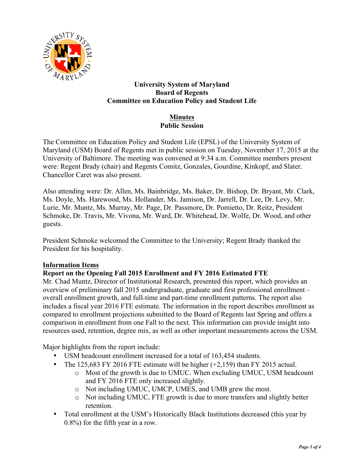

## **University System of Maryland Board of Regents Committee on Education Policy and Student Life**

# **Minutes Public Session**

The Committee on Education Policy and Student Life (EPSL) of the University System of Maryland (USM) Board of Regents met in public session on Tuesday, November 17, 2015 at the University of Baltimore. The meeting was convened at 9:34 a.m. Committee members present were: Regent Brady (chair) and Regents Comitz, Gonzales, Gourdine, Kinkopf, and Slater. Chancellor Caret was also present.

Also attending were: Dr. Allen, Ms. Bainbridge, Ms. Baker, Dr. Bishop, Dr. Bryant, Mr. Clark, Ms. Doyle, Ms. Harewood, Ms. Hollander, Ms. Jamison, Dr. Jarrell, Dr. Lee, Dr. Levy, Mr. Lurie, Mr. Muntz, Ms. Murray, Mr. Page, Dr. Passmore, Dr. Pomietto, Dr. Reitz, President Schmoke, Dr. Travis, Mr. Vivona, Mr. Ward, Dr. Whitehead, Dr. Wolfe, Dr. Wood, and other guests.

President Schmoke welcomed the Committee to the University; Regent Brady thanked the President for his hospitality.

## **Information Items**

**Report on the Opening Fall 2015 Enrollment and FY 2016 Estimated FTE**

Mr. Chad Muntz, Director of Institutional Research, presented this report, which provides an overview of preliminary fall 2015 undergraduate, graduate and first professional enrollment – overall enrollment growth, and full-time and part-time enrollment patterns. The report also includes a fiscal year 2016 FTE estimate. The information in the report describes enrollment as compared to enrollment projections submitted to the Board of Regents last Spring and offers a comparison in enrollment from one Fall to the next. This information can provide insight into resources used, retention, degree mix, as well as other important measurements across the USM.

Major highlights from the report include:

- USM headcount enrollment increased for a total of 163,454 students.
- The 125,683 FY 2016 FTE estimate will be higher  $(+2,159)$  than FY 2015 actual.
	- o Most of the growth is due to UMUC. When excluding UMUC, USM headcount and FY 2016 FTE only increased slightly.
	- o Not including UMUC, UMCP, UMES, and UMB grew the most.
	- o Not including UMUC, FTE growth is due to more transfers and slightly better retention.
- Total enrollment at the USM's Historically Black Institutions decreased (this year by 0.8%) for the fifth year in a row.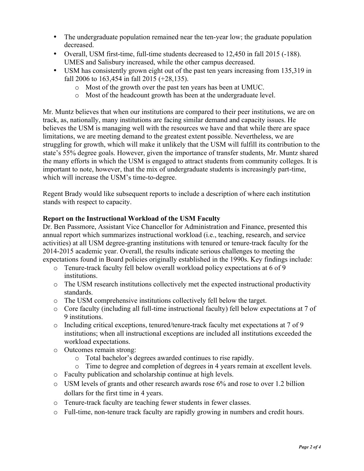- The undergraduate population remained near the ten-year low; the graduate population decreased.
- Overall, USM first-time, full-time students decreased to 12,450 in fall 2015 (-188). UMES and Salisbury increased, while the other campus decreased.
- USM has consistently grown eight out of the past ten years increasing from 135,319 in fall 2006 to 163,454 in fall 2015 (+28,135).
	- o Most of the growth over the past ten years has been at UMUC.
	- o Most of the headcount growth has been at the undergraduate level.

Mr. Muntz believes that when our institutions are compared to their peer institutions, we are on track, as, nationally, many institutions are facing similar demand and capacity issues. He believes the USM is managing well with the resources we have and that while there are space limitations, we are meeting demand to the greatest extent possible. Nevertheless, we are struggling for growth, which will make it unlikely that the USM will fulfill its contribution to the state's 55% degree goals. However, given the importance of transfer students, Mr. Muntz shared the many efforts in which the USM is engaged to attract students from community colleges. It is important to note, however, that the mix of undergraduate students is increasingly part-time, which will increase the USM's time-to-degree.

Regent Brady would like subsequent reports to include a description of where each institution stands with respect to capacity.

## **Report on the Instructional Workload of the USM Faculty**

Dr. Ben Passmore, Assistant Vice Chancellor for Administration and Finance, presented this annual report which summarizes instructional workload (i.e., teaching, research, and service activities) at all USM degree-granting institutions with tenured or tenure-track faculty for the 2014-2015 academic year. Overall, the results indicate serious challenges to meeting the expectations found in Board policies originally established in the 1990s. Key findings include:

- o Tenure-track faculty fell below overall workload policy expectations at 6 of 9 institutions.
- o The USM research institutions collectively met the expected instructional productivity standards.
- o The USM comprehensive institutions collectively fell below the target.
- o Core faculty (including all full-time instructional faculty) fell below expectations at 7 of 9 institutions.
- o Including critical exceptions, tenured/tenure-track faculty met expectations at 7 of 9 institutions; when all instructional exceptions are included all institutions exceeded the workload expectations.
- o Outcomes remain strong:
	- o Total bachelor's degrees awarded continues to rise rapidly.
	- o Time to degree and completion of degrees in 4 years remain at excellent levels.
- o Faculty publication and scholarship continue at high levels.
- o USM levels of grants and other research awards rose 6% and rose to over 1.2 billion dollars for the first time in 4 years.
- o Tenure-track faculty are teaching fewer students in fewer classes.
- o Full-time, non-tenure track faculty are rapidly growing in numbers and credit hours.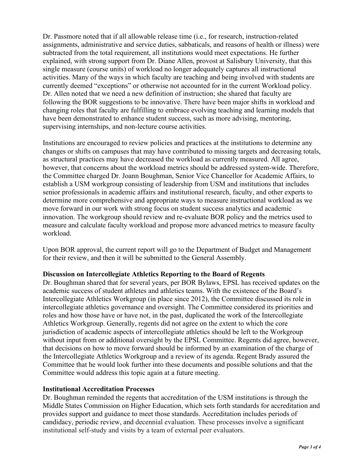Dr. Passmore noted that if all allowable release time (i.e., for research, instruction-related assignments, administrative and service duties, sabbaticals, and reasons of health or illness) were subtracted from the total requirement, all institutions would meet expectations. He further explained, with strong support from Dr. Diane Allen, provost at Salisbury University, that this single measure (course units) of workload no longer adequately captures all instructional activities. Many of the ways in which faculty are teaching and being involved with students are currently deemed "exceptions" or otherwise not accounted for in the current Workload policy. Dr. Allen noted that we need a new definition of instruction; she shared that faculty are following the BOR suggestions to be innovative. There have been major shifts in workload and changing roles that faculty are fulfilling to embrace evolving teaching and learning models that have been demonstrated to enhance student success, such as more advising, mentoring, supervising internships, and non-lecture course activities.

Institutions are encouraged to review policies and practices at the institutions to determine any changes or shifts on campuses that may have contributed to missing targets and decreasing totals, as structural practices may have decreased the workload as currently measured. All agree, however, that concerns about the workload metrics should be addressed system-wide. Therefore, the Committee charged Dr. Joann Boughman, Senior Vice Chancellor for Academic Affairs, to establish a USM workgroup consisting of leadership from USM and institutions that includes senior professionals in academic affairs and institutional research, faculty, and other experts to determine more comprehensive and appropriate ways to measure instructional workload as we move forward in our work with strong focus on student success analytics and academic innovation. The workgroup should review and re-evaluate BOR policy and the metrics used to measure and calculate faculty workload and propose more advanced metrics to measure faculty workload.

Upon BOR approval, the current report will go to the Department of Budget and Management for their review, and then it will be submitted to the General Assembly.

#### **Discussion on Intercollegiate Athletics Reporting to the Board of Regents**

Dr. Boughman shared that for several years, per BOR Bylaws, EPSL has received updates on the academic success of student athletes and athletics teams. With the existence of the Board's Intercollegiate Athletics Workgroup (in place since 2012), the Committee discussed its role in intercollegiate athletics governance and oversight. The Committee considered its priorities and roles and how those have or have not, in the past, duplicated the work of the Intercollegiate Athletics Workgroup. Generally, regents did not agree on the extent to which the core jurisdiction of academic aspects of intercollegiate athletics should be left to the Workgroup without input from or additional oversight by the EPSL Committee. Regents did agree, however, that decisions on how to move forward should be informed by an examination of the charge of the Intercollegiate Athletics Workgroup and a review of its agenda. Regent Brady assured the Committee that he would look further into these documents and possible solutions and that the Committee would address this topic again at a future meeting.

#### **Institutional Accreditation Processes**

Dr. Boughman reminded the regents that accreditation of the USM institutions is through the Middle States Commission on Higher Education, which sets forth standards for accreditation and provides support and guidance to meet those standards. Accreditation includes periods of candidacy, periodic review, and decennial evaluation. These processes involve a significant institutional self-study and visits by a team of external peer evaluators.